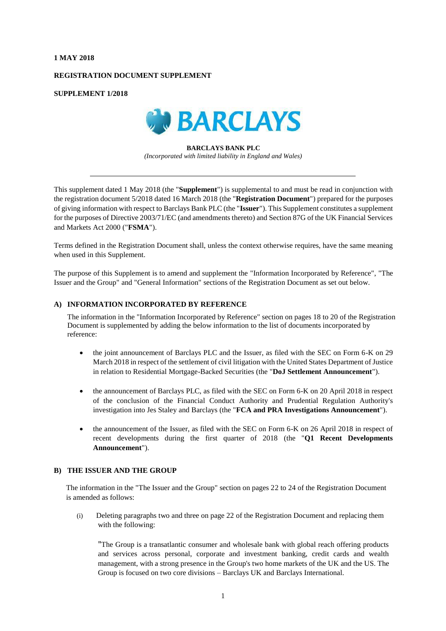### **1 MAY 2018**

# **REGISTRATION DOCUMENT SUPPLEMENT**

### **SUPPLEMENT 1/2018**



### **BARCLAYS BANK PLC** *(Incorporated with limited liability in England and Wales)*

This supplement dated 1 May 2018 (the "**Supplement**") is supplemental to and must be read in conjunction with the registration document 5/2018 dated 16 March 2018 (the "**Registration Document**") prepared for the purposes of giving information with respect to Barclays Bank PLC (the "**Issuer**"). This Supplement constitutes a supplement for the purposes of Directive 2003/71/EC (and amendments thereto) and Section 87G of the UK Financial Services and Markets Act 2000 ("**FSMA**").

Terms defined in the Registration Document shall, unless the context otherwise requires, have the same meaning when used in this Supplement.

The purpose of this Supplement is to amend and supplement the "Information Incorporated by Reference", "The Issuer and the Group" and "General Information" sections of the Registration Document as set out below.

# **A) INFORMATION INCORPORATED BY REFERENCE**

The information in the "Information Incorporated by Reference" section on pages 18 to 20 of the Registration Document is supplemented by adding the below information to the list of documents incorporated by reference:

- the joint announcement of Barclays PLC and the Issuer, as filed with the SEC on Form 6-K on 29 March 2018 in respect of the settlement of civil litigation with the United States Department of Justice in relation to Residential Mortgage-Backed Securities (the "**DoJ Settlement Announcement**").
- the announcement of Barclays PLC, as filed with the SEC on Form 6-K on 20 April 2018 in respect of the conclusion of the Financial Conduct Authority and Prudential Regulation Authority's investigation into Jes Staley and Barclays (the "**FCA and PRA Investigations Announcement**").
- the announcement of the Issuer, as filed with the SEC on Form 6-K on 26 April 2018 in respect of recent developments during the first quarter of 2018 (the "**Q1 Recent Developments Announcement**").

### **B) THE ISSUER AND THE GROUP**

The information in the "The Issuer and the Group" section on pages 22 to 24 of the Registration Document is amended as follows:

(i) Deleting paragraphs two and three on page 22 of the Registration Document and replacing them with the following:

"The Group is a transatlantic consumer and wholesale bank with global reach offering products and services across personal, corporate and investment banking, credit cards and wealth management, with a strong presence in the Group's two home markets of the UK and the US. The Group is focused on two core divisions – Barclays UK and Barclays International.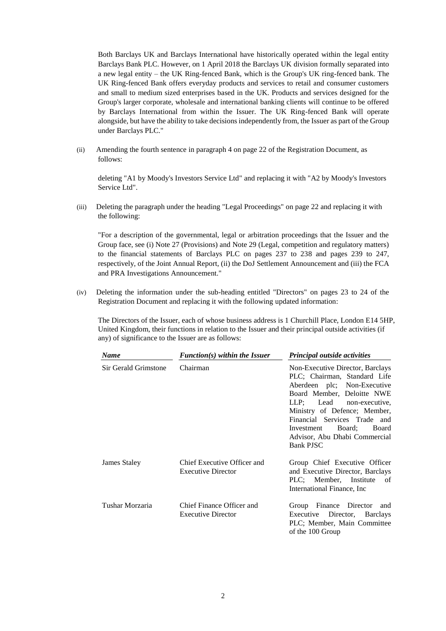Both Barclays UK and Barclays International have historically operated within the legal entity Barclays Bank PLC. However, on 1 April 2018 the Barclays UK division formally separated into a new legal entity – the UK Ring-fenced Bank, which is the Group's UK ring-fenced bank. The UK Ring-fenced Bank offers everyday products and services to retail and consumer customers and small to medium sized enterprises based in the UK. Products and services designed for the Group's larger corporate, wholesale and international banking clients will continue to be offered by Barclays International from within the Issuer. The UK Ring-fenced Bank will operate alongside, but have the ability to take decisions independently from, the Issuer as part of the Group under Barclays PLC."

(ii) Amending the fourth sentence in paragraph 4 on page 22 of the Registration Document, as follows:

deleting "A1 by Moody's Investors Service Ltd" and replacing it with "A2 by Moody's Investors Service Ltd".

(iii) Deleting the paragraph under the heading "Legal Proceedings" on page 22 and replacing it with the following:

"For a description of the governmental, legal or arbitration proceedings that the Issuer and the Group face, see (i) Note 27 (Provisions) and Note 29 (Legal, competition and regulatory matters) to the financial statements of Barclays PLC on pages 237 to 238 and pages 239 to 247, respectively, of the Joint Annual Report, (ii) the DoJ Settlement Announcement and (iii) the FCA and PRA Investigations Announcement."

(iv) Deleting the information under the sub-heading entitled "Directors" on pages 23 to 24 of the Registration Document and replacing it with the following updated information:

The Directors of the Issuer, each of whose business address is 1 Churchill Place, London E14 5HP, United Kingdom, their functions in relation to the Issuer and their principal outside activities (if any) of significance to the Issuer are as follows:

| <b>Name</b>          | $Function(s)$ within the Issuer                          | Principal outside activities                                                                                                                                                                                                                                                                                 |
|----------------------|----------------------------------------------------------|--------------------------------------------------------------------------------------------------------------------------------------------------------------------------------------------------------------------------------------------------------------------------------------------------------------|
| Sir Gerald Grimstone | Chairman                                                 | Non-Executive Director, Barclays<br>PLC; Chairman, Standard Life<br>Aberdeen plc; Non-Executive<br>Board Member, Deloitte NWE<br>LLP; Lead non-executive,<br>Ministry of Defence; Member,<br>Financial Services Trade and<br>Investment Board;<br>Board<br>Advisor, Abu Dhabi Commercial<br><b>Bank PJSC</b> |
| James Staley         | Chief Executive Officer and<br><b>Executive Director</b> | Group Chief Executive Officer<br>and Executive Director, Barclays<br>PLC; Member, Institute<br>- of<br>International Finance, Inc.                                                                                                                                                                           |
| Tushar Morzaria      | Chief Finance Officer and<br><b>Executive Director</b>   | Group Finance Director<br>and<br>Executive Director, Barclays<br>PLC; Member, Main Committee<br>of the 100 Group                                                                                                                                                                                             |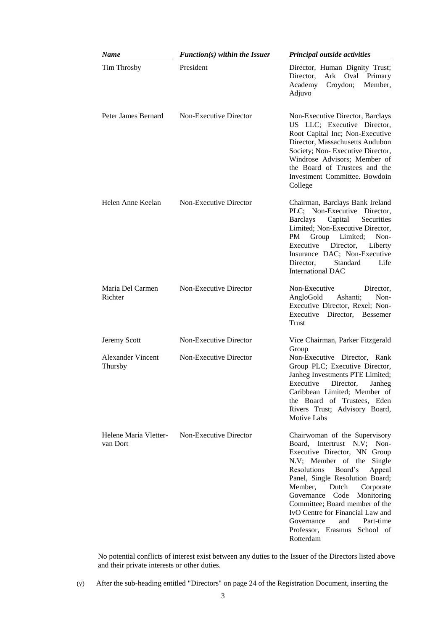| Name                                | $Function(s)$ within the Issuer | Principal outside activities                                                                                                                                                                                                                                                                                                                                                                                               |
|-------------------------------------|---------------------------------|----------------------------------------------------------------------------------------------------------------------------------------------------------------------------------------------------------------------------------------------------------------------------------------------------------------------------------------------------------------------------------------------------------------------------|
| Tim Throsby                         | President                       | Director, Human Dignity Trust;<br>Director,<br>Ark Oval<br>Primary<br>Croydon;<br>Academy<br>Member,<br>Adjuvo                                                                                                                                                                                                                                                                                                             |
| Peter James Bernard                 | Non-Executive Director          | Non-Executive Director, Barclays<br>US LLC; Executive Director,<br>Root Capital Inc; Non-Executive<br>Director, Massachusetts Audubon<br>Society; Non-Executive Director,<br>Windrose Advisors; Member of<br>the Board of Trustees and the<br>Investment Committee. Bowdoin<br>College                                                                                                                                     |
| Helen Anne Keelan                   | Non-Executive Director          | Chairman, Barclays Bank Ireland<br>PLC; Non-Executive Director,<br>Capital<br>Barclays<br>Securities<br>Limited; Non-Executive Director,<br>Group Limited;<br>PM.<br>Non-<br>Executive<br>Director,<br>Liberty<br>Insurance DAC; Non-Executive<br>Director,<br>Life<br>Standard<br><b>International DAC</b>                                                                                                                |
| Maria Del Carmen<br>Richter         | Non-Executive Director          | Non-Executive<br>Director,<br>AngloGold<br>Ashanti;<br>Non-<br>Executive Director, Rexel; Non-<br>Executive<br>Director, Bessemer<br>Trust                                                                                                                                                                                                                                                                                 |
| Jeremy Scott                        | Non-Executive Director          | Vice Chairman, Parker Fitzgerald                                                                                                                                                                                                                                                                                                                                                                                           |
| <b>Alexander Vincent</b><br>Thursby | Non-Executive Director          | Group<br>Non-Executive Director, Rank<br>Group PLC; Executive Director,<br>Janheg Investments PTE Limited;<br>Executive Director, Janheg<br>Caribbean Limited; Member of<br>the Board of Trustees, Eden<br>Rivers Trust; Advisory Board,<br>Motive Labs                                                                                                                                                                    |
| Helene Maria Vletter-<br>van Dort   | Non-Executive Director          | Chairwoman of the Supervisory<br>Board, Intertrust N.V; Non-<br>Executive Director, NN Group<br>N.V; Member of the<br>Single<br>Resolutions<br>Board's<br>Appeal<br>Panel, Single Resolution Board;<br>Dutch<br>Member,<br>Corporate<br>Governance Code<br>Monitoring<br>Committee; Board member of the<br>IvO Centre for Financial Law and<br>Part-time<br>Governance<br>and<br>Professor, Erasmus School of<br>Rotterdam |

No potential conflicts of interest exist between any duties to the Issuer of the Directors listed above and their private interests or other duties.

(v) After the sub-heading entitled "Directors" on page 24 of the Registration Document, inserting the